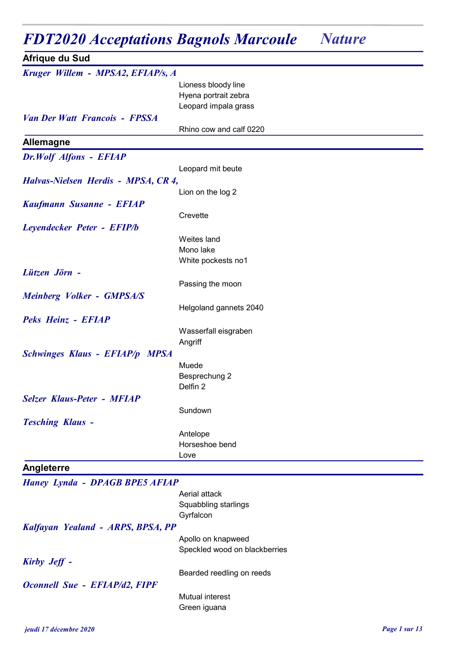## FDT2020 Acceptations Bagnols Marcoule Nature

| Afrique du Sud                        |                         |
|---------------------------------------|-------------------------|
| Kruger Willem - MPSA2, EFIAP/s, A     |                         |
|                                       | Lioness bloody line     |
|                                       | Hyena portrait zebra    |
|                                       | Leopard impala grass    |
| <b>Van Der Watt Francois - FPSSA</b>  |                         |
|                                       | Rhino cow and calf 0220 |
| <b>Allemagne</b>                      |                         |
| Dr.Wolf Alfons - EFIAP                |                         |
|                                       | Leopard mit beute       |
| Halvas-Nielsen Herdis - MPSA, CR 4,   |                         |
|                                       | Lion on the log 2       |
| Kaufmann Susanne - EFIAP              |                         |
|                                       | Crevette                |
| Leyendecker Peter - EFIP/b            |                         |
|                                       | Weites land             |
|                                       | Mono lake               |
|                                       | White pockests no1      |
| Lützen Jörn -                         |                         |
|                                       | Passing the moon        |
| <b>Meinberg Volker - GMPSA/S</b>      |                         |
|                                       |                         |
|                                       | Helgoland gannets 2040  |
| Peks Heinz - EFIAP                    |                         |
|                                       | Wasserfall eisgraben    |
|                                       | Angriff                 |
| <b>Schwinges Klaus - EFIAP/p MPSA</b> |                         |
|                                       | Muede                   |
|                                       | Besprechung 2           |
|                                       | Delfin 2                |
| <b>Selzer Klaus-Peter - MFIAP</b>     |                         |
|                                       | Sundown                 |
| <b>Tesching Klaus -</b>               |                         |
|                                       | Antelope                |
|                                       | Horseshoe bend          |
|                                       | Love                    |
| Angleterre                            |                         |
| <b>Haney Lynda - DPAGB BPE5 AFIAP</b> |                         |
|                                       | Aerial attack           |
|                                       | Squabbling starlings    |
|                                       | Gyrfalcon               |
| Kalfayan Yealand - ARPS, BPSA, PP     |                         |

Kirby Jeff -

Oconnell Sue - EFIAP/d2, FIPF

Mutual interest Green iguana

Apollo on knapweed

Speckled wood on blackberries

Bearded reedling on reeds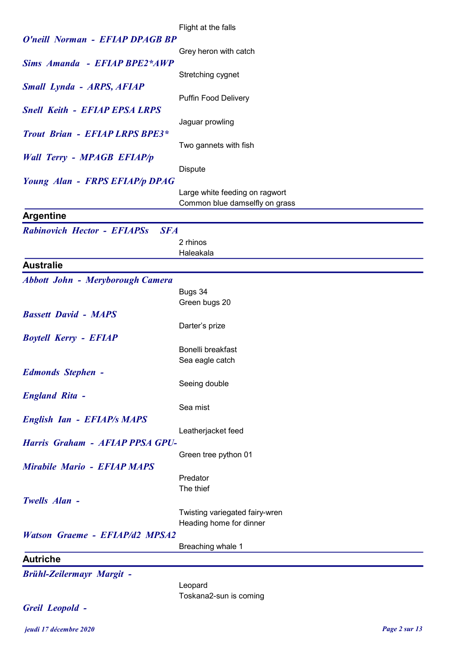|                                                  | Flight at the falls            |
|--------------------------------------------------|--------------------------------|
| O'neill Norman - EFIAP DPAGB BP                  |                                |
|                                                  | Grey heron with catch          |
| Sims Amanda - EFIAP BPE2*AWP                     |                                |
|                                                  | Stretching cygnet              |
| <b>Small Lynda - ARPS, AFIAP</b>                 |                                |
|                                                  | <b>Puffin Food Delivery</b>    |
| <b>Snell Keith - EFIAP EPSA LRPS</b>             |                                |
|                                                  | Jaguar prowling                |
| <b>Trout Brian - EFIAP LRPS BPE3*</b>            |                                |
|                                                  | Two gannets with fish          |
| <b>Wall Terry - MPAGB EFIAP/p</b>                |                                |
|                                                  | <b>Dispute</b>                 |
| Young Alan - FRPS EFIAP/p DPAG                   |                                |
|                                                  | Large white feeding on ragwort |
|                                                  | Common blue damselfly on grass |
| <b>Argentine</b>                                 |                                |
|                                                  |                                |
| <b>Rabinovich Hector - EFIAPSs</b><br><b>SFA</b> |                                |
|                                                  | 2 rhinos                       |
|                                                  | Haleakala                      |
| <b>Australie</b>                                 |                                |
| <b>Abbott John - Meryborough Camera</b>          |                                |
|                                                  | Bugs 34                        |
|                                                  | Green bugs 20                  |
| <b>Bassett David - MAPS</b>                      |                                |
|                                                  | Darter's prize                 |
| <b>Boytell Kerry - EFIAP</b>                     |                                |
|                                                  | Bonelli breakfast              |
|                                                  | Sea eagle catch                |
| <b>Edmonds Stephen -</b>                         |                                |
|                                                  | Seeing double                  |
| <b>England Rita -</b>                            |                                |
|                                                  | Sea mist                       |
| <b>English Ian - EFIAP/s MAPS</b>                |                                |
|                                                  | Leatherjacket feed             |
| Harris Graham - AFIAP PPSA GPU-                  |                                |
|                                                  | Green tree python 01           |
| <b>Mirabile Mario - EFIAP MAPS</b>               |                                |
|                                                  | Predator                       |
|                                                  | The thief                      |
| Twells Alan -                                    |                                |
|                                                  | Twisting variegated fairy-wren |
|                                                  | Heading home for dinner        |
| <b>Watson Graeme - EFIAP/d2 MPSA2</b>            |                                |
|                                                  | Breaching whale 1              |
| <b>Autriche</b>                                  |                                |
| <b>Brühl-Zeilermayr Margit -</b>                 |                                |
|                                                  | Leopard                        |
|                                                  | Toskana2-sun is coming         |
| Greil Leopold -                                  |                                |
|                                                  |                                |

jeudi 17 décembre 2020 Page 2 sur 13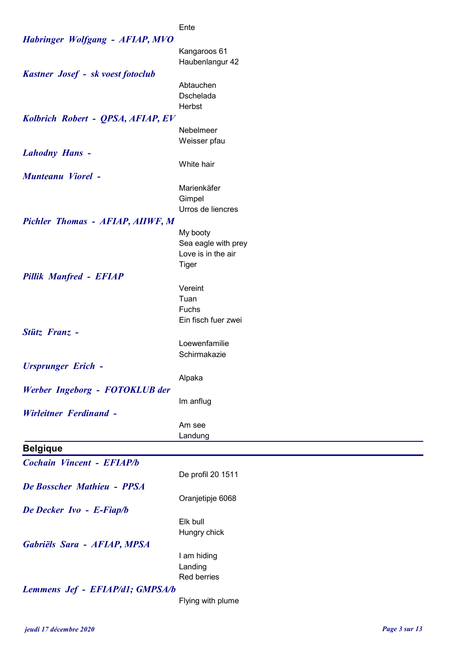## Ente

| <b>Habringer Wolfgang - AFIAP, MVO</b> |                          |
|----------------------------------------|--------------------------|
|                                        | Kangaroos 61             |
|                                        | Haubenlangur 42          |
| Kastner Josef - sk voest fotoclub      |                          |
|                                        | Abtauchen                |
|                                        | Dschelada                |
|                                        | Herbst                   |
| Kolbrich Robert - QPSA, AFIAP, EV      |                          |
|                                        | Nebelmeer                |
|                                        | Weisser pfau             |
| <b>Lahodny Hans -</b>                  |                          |
|                                        | White hair               |
| <b>Munteanu Viorel -</b>               | Marienkäfer              |
|                                        | Gimpel                   |
|                                        | Urros de liencres        |
| Pichler Thomas - AFIAP, AIIWF, M       |                          |
|                                        | My booty                 |
|                                        | Sea eagle with prey      |
|                                        | Love is in the air       |
|                                        | Tiger                    |
| <b>Pillik Manfred - EFIAP</b>          |                          |
|                                        | Vereint                  |
|                                        | Tuan                     |
|                                        | Fuchs                    |
|                                        | Ein fisch fuer zwei      |
| Stütz Franz -                          |                          |
|                                        | Loewenfamilie            |
|                                        | Schirmakazie             |
| <b>Ursprunger Erich -</b>              |                          |
|                                        | Alpaka                   |
| Werber Ingeborg - FOTOKLUB der         |                          |
| <b>Wirleitner Ferdinand -</b>          | Im anflug                |
|                                        | Am see                   |
|                                        | Landung                  |
| <b>Belgique</b>                        |                          |
|                                        |                          |
| <b>Cochain Vincent - EFIAP/b</b>       |                          |
|                                        | De profil 20 1511        |
| De Bosscher Mathieu - PPSA             |                          |
|                                        | Oranjetipje 6068         |
| De Decker Ivo - E-Fiap/b               |                          |
|                                        | Elk bull<br>Hungry chick |
|                                        |                          |
| Gabriëls Sara - AFIAP, MPSA            | I am hiding              |
|                                        | Landing                  |
|                                        | Red berries              |
| Lemmens Jef - EFIAP/d1; GMPSA/b        |                          |
|                                        | Flying with plume        |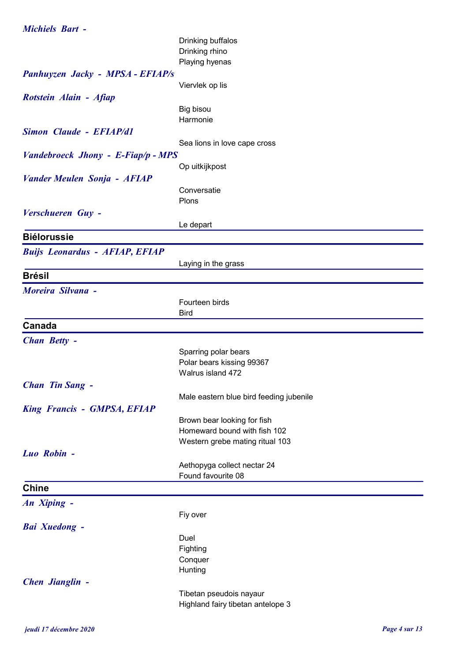|  | <b>Michiels Bart -</b> |  |
|--|------------------------|--|
|  |                        |  |

|                                       | Drinking buffalos                                           |
|---------------------------------------|-------------------------------------------------------------|
|                                       | Drinking rhino                                              |
|                                       | Playing hyenas                                              |
| Panhuyzen Jacky - MPSA - EFIAP/s      |                                                             |
|                                       | Viervlek op lis                                             |
| Rotstein Alain - Afiap                |                                                             |
|                                       | Big bisou                                                   |
|                                       | Harmonie                                                    |
| <b>Simon Claude - EFIAP/d1</b>        |                                                             |
|                                       | Sea lions in love cape cross                                |
| Vandebroeck Jhony - E-Fiap/p - MPS    |                                                             |
|                                       | Op uitkijkpost                                              |
| <b>Vander Meulen Sonja - AFIAP</b>    |                                                             |
|                                       | Conversatie                                                 |
|                                       | Plons                                                       |
| Verschueren Guy -                     |                                                             |
|                                       | Le depart                                                   |
| <b>Biélorussie</b>                    |                                                             |
|                                       |                                                             |
| <b>Buijs Leonardus - AFIAP, EFIAP</b> |                                                             |
|                                       | Laying in the grass                                         |
| <b>Brésil</b>                         |                                                             |
| <b>Moreira Silvana -</b>              |                                                             |
|                                       | Fourteen birds                                              |
|                                       | <b>Bird</b>                                                 |
| Canada                                |                                                             |
| <b>Chan Betty -</b>                   |                                                             |
|                                       | Sparring polar bears                                        |
|                                       | Polar bears kissing 99367                                   |
|                                       | Walrus island 472                                           |
| <b>Chan Tin Sang -</b>                |                                                             |
|                                       | Male eastern blue bird feeding jubenile                     |
|                                       |                                                             |
| <b>King Francis - GMPSA, EFIAP</b>    |                                                             |
|                                       | Brown bear looking for fish<br>Homeward bound with fish 102 |
|                                       | Western grebe mating ritual 103                             |
| Luo Robin -                           |                                                             |
|                                       |                                                             |
|                                       | Aethopyga collect nectar 24<br>Found favourite 08           |
|                                       |                                                             |
| <b>Chine</b>                          |                                                             |
| An Xiping -                           |                                                             |
|                                       | Fiy over                                                    |
| <b>Bai Xuedong -</b>                  |                                                             |
|                                       | Duel                                                        |
|                                       | Fighting                                                    |
|                                       | Conquer                                                     |
|                                       | Hunting                                                     |
| <b>Chen Jianglin -</b>                |                                                             |
|                                       | Tibetan pseudois nayaur                                     |
|                                       | Highland fairy tibetan antelope 3                           |
|                                       |                                                             |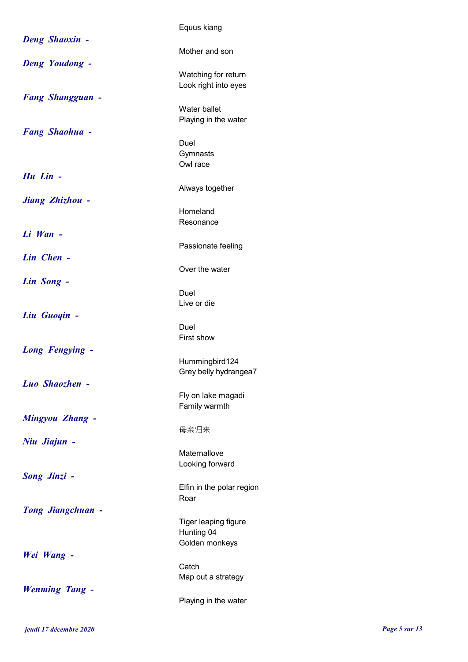|                          | Equus kiang                                 |
|--------------------------|---------------------------------------------|
| <b>Deng Shaoxin -</b>    | Mother and son                              |
| Deng Youdong -           | Watching for return<br>Look right into eyes |
| <b>Fang Shangguan -</b>  | Water ballet<br>Playing in the water        |
| <b>Fang Shaohua -</b>    | Duel<br>Gymnasts<br>Owl race                |
| Hu Lin -                 | Always together                             |
| Jiang Zhizhou -          | Homeland                                    |
|                          | Resonance                                   |
| $Li$ <i>Wan</i> $-$      | Passionate feeling                          |
| Lin Chen -               | Over the water                              |
| Lin Song -               | Duel                                        |
| Liu Guogin -             | Live or die<br>Duel<br>First show           |
| <b>Long Fengying -</b>   | Hummingbird124<br>Grey belly hydrangea7     |
| Luo Shaozhen -           | Fly on lake magadi                          |
| <b>Mingyou Zhang -</b>   | Family warmth                               |
| Niu Jiajun -             | 母亲归来                                        |
|                          | Maternallove<br>Looking forward             |
| <b>Song Jinzi -</b>      | Elfin in the polar region<br>Roar           |
| <b>Tong Jiangchuan -</b> | Tiger leaping figure<br>Hunting 04          |
| Wei Wang -               | Golden monkeys                              |
|                          | Catch<br>Map out a strategy                 |
| <b>Wenming Tang -</b>    | Playing in the water                        |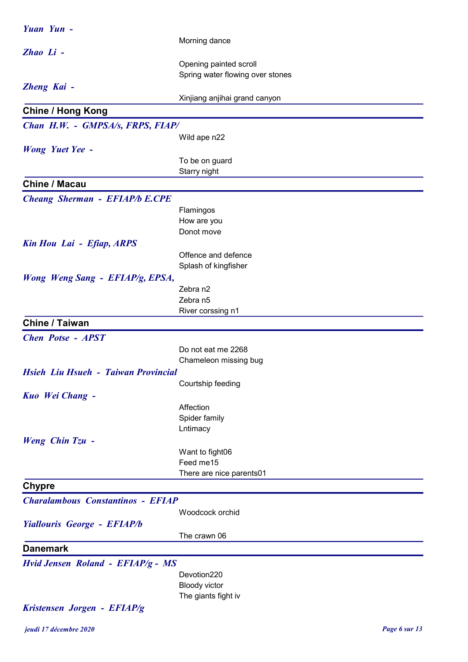| Yuan Yun -                               |                                  |
|------------------------------------------|----------------------------------|
|                                          | Morning dance                    |
| Zhao Li -                                |                                  |
|                                          | Opening painted scroll           |
|                                          | Spring water flowing over stones |
| Zheng Kai -                              |                                  |
|                                          | Xinjiang anjihai grand canyon    |
| <b>Chine / Hong Kong</b>                 |                                  |
| Chan H.W. - GMPSA/s, FRPS, FIAP/         |                                  |
|                                          | Wild ape n22                     |
| <b>Wong Yuet Yee -</b>                   |                                  |
|                                          | To be on guard                   |
|                                          | Starry night                     |
| <b>Chine / Macau</b>                     |                                  |
| <b>Cheang Sherman - EFIAP/b E.CPE</b>    |                                  |
|                                          | Flamingos                        |
|                                          | How are you                      |
|                                          | Donot move                       |
| Kin Hou Lai - Efiap, ARPS                |                                  |
|                                          | Offence and defence              |
|                                          | Splash of kingfisher             |
| Wong Weng Sang - EFIAP/g, EPSA,          |                                  |
|                                          | Zebra n2                         |
|                                          | Zebra n5                         |
|                                          | River corssing n1                |
| <b>Chine / Taiwan</b>                    |                                  |
| <b>Chen Potse - APST</b>                 |                                  |
|                                          | Do not eat me 2268               |
|                                          | Chameleon missing bug            |
| Hsieh Liu Hsueh - Taiwan Provincial      |                                  |
|                                          | Courtship feeding                |
| Kuo Wei Chang -                          |                                  |
|                                          | Affection                        |
|                                          | Spider family                    |
|                                          | Lntimacy                         |
| Weng Chin Tzu -                          |                                  |
|                                          | Want to fight06                  |
|                                          | Feed me15                        |
|                                          | There are nice parents01         |
| <b>Chypre</b>                            |                                  |
| <b>Charalambous Constantinos - EFIAP</b> |                                  |
|                                          | Woodcock orchid                  |
| <b>Yiallouris George - EFIAP/b</b>       |                                  |
|                                          | The crawn 06                     |
| <b>Danemark</b>                          |                                  |
| Hvid Jensen Roland - EFIAP/g - MS        |                                  |
|                                          | Devotion220                      |
|                                          | <b>Bloody victor</b>             |
|                                          | The giants fight iv              |
| Kristensen Jorgen - EFIAP/g              |                                  |
|                                          |                                  |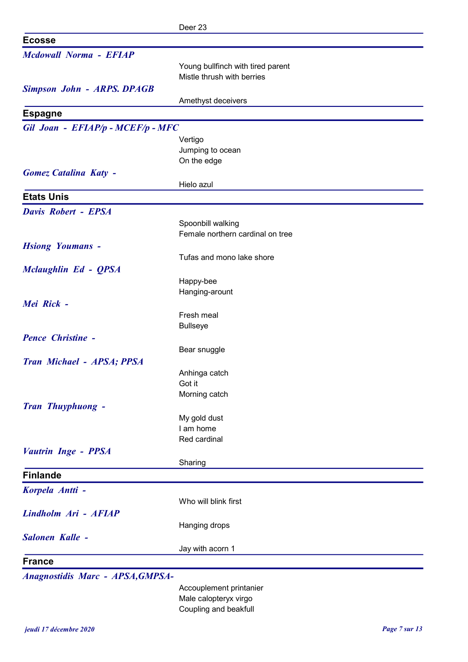|                                         | Deer 23                           |
|-----------------------------------------|-----------------------------------|
| <b>Ecosse</b>                           |                                   |
| <b>Mcdowall Norma - EFIAP</b>           |                                   |
|                                         | Young bullfinch with tired parent |
|                                         | Mistle thrush with berries        |
| <b>Simpson John - ARPS. DPAGB</b>       |                                   |
|                                         | Amethyst deceivers                |
| <b>Espagne</b>                          |                                   |
| Gil Joan - EFIAP/p - MCEF/p - MFC       |                                   |
|                                         | Vertigo                           |
|                                         | Jumping to ocean                  |
|                                         | On the edge                       |
| <b>Gomez Catalina Katy -</b>            |                                   |
|                                         | Hielo azul                        |
| <b>Etats Unis</b>                       |                                   |
| <b>Davis Robert - EPSA</b>              |                                   |
|                                         | Spoonbill walking                 |
|                                         | Female northern cardinal on tree  |
| <b>Hsiong Youmans -</b>                 |                                   |
|                                         | Tufas and mono lake shore         |
| <b>Mclaughlin Ed - QPSA</b>             |                                   |
|                                         | Happy-bee                         |
|                                         | Hanging-arount                    |
| Mei Rick -                              |                                   |
|                                         | Fresh meal                        |
|                                         | <b>Bullseye</b>                   |
| <b>Pence Christine -</b>                |                                   |
|                                         | Bear snuggle                      |
| Tran Michael - APSA; PPSA               |                                   |
|                                         | Anhinga catch                     |
|                                         | Got it                            |
|                                         | Morning catch                     |
| Tran Thuyphuong -                       |                                   |
|                                         | My gold dust<br>I am home         |
|                                         | Red cardinal                      |
| <b>Vautrin Inge - PPSA</b>              |                                   |
|                                         | Sharing                           |
| <b>Finlande</b>                         |                                   |
|                                         |                                   |
| Korpela Antti -                         |                                   |
|                                         | Who will blink first              |
| Lindholm Ari - AFIAP                    |                                   |
|                                         | Hanging drops                     |
| Salonen Kalle -                         |                                   |
|                                         | Jay with acorn 1                  |
| <b>France</b>                           |                                   |
| <b>Anagnostidis Marc - APSA, GMPSA-</b> |                                   |

Accouplement printanier Male calopteryx virgo Coupling and beakfull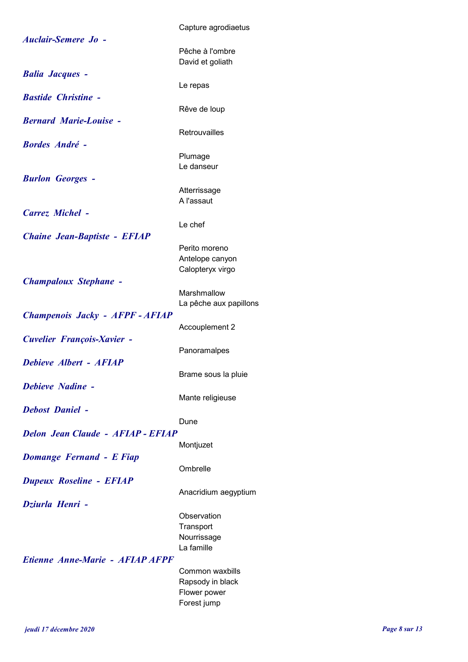| <b>Auclair-Semere Jo -</b>               | Capture agrodiaetus                 |
|------------------------------------------|-------------------------------------|
|                                          | Pêche à l'ombre<br>David et goliath |
| <b>Balia Jacques -</b>                   |                                     |
| <b>Bastide Christine -</b>               | Le repas                            |
|                                          | Rêve de loup                        |
| <b>Bernard Marie-Louise -</b>            |                                     |
| <b>Bordes André -</b>                    | Retrouvailles                       |
|                                          | Plumage                             |
|                                          | Le danseur                          |
| <b>Burlon Georges -</b>                  |                                     |
|                                          | Atterrissage<br>A l'assaut          |
| <b>Carrez Michel -</b>                   |                                     |
|                                          | Le chef                             |
| <b>Chaine Jean-Baptiste - EFIAP</b>      |                                     |
|                                          | Perito moreno<br>Antelope canyon    |
|                                          | Calopteryx virgo                    |
| <b>Champaloux Stephane -</b>             |                                     |
|                                          | Marshmallow                         |
|                                          | La pêche aux papillons              |
| Champenois Jacky - AFPF - AFIAP          | Accouplement 2                      |
| <b>Cuvelier François-Xavier -</b>        |                                     |
|                                          | Panoramalpes                        |
| Debieve Albert - AFIAP                   |                                     |
| <b>Debieve Nadine -</b>                  | Brame sous la pluie                 |
|                                          | Mante religieuse                    |
| <b>Debost Daniel -</b>                   |                                     |
|                                          | Dune                                |
| <b>Delon Jean Claude - AFIAP - EFIAP</b> |                                     |
| <b>Domange Fernand - E Fiap</b>          | Montjuzet                           |
|                                          | Ombrelle                            |
| <b>Dupeux Roseline - EFIAP</b>           |                                     |
|                                          | Anacridium aegyptium                |
| Dziurla Henri -                          |                                     |
|                                          | Observation<br>Transport            |
|                                          | Nourrissage                         |
|                                          | La famille                          |
| Etienne Anne-Marie - AFIAP AFPF          |                                     |
|                                          | Common waxbills<br>Rapsody in black |
|                                          | Flower power                        |
|                                          | Forest jump                         |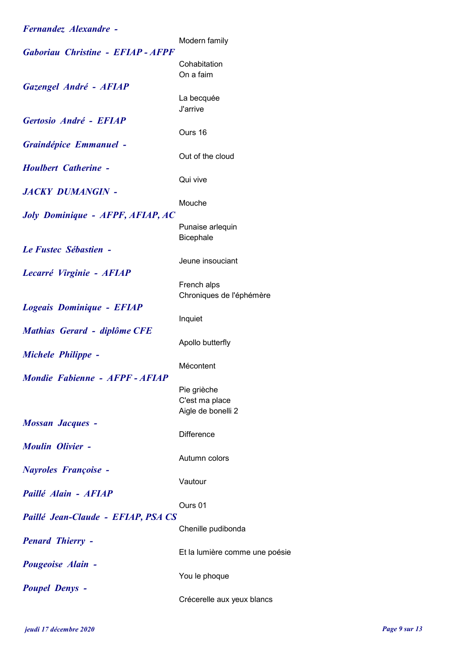| Fernandez Alexandre -                   |                                      |
|-----------------------------------------|--------------------------------------|
|                                         | Modern family                        |
| Gaboriau Christine - EFIAP - AFPF       | Cohabitation                         |
|                                         | On a faim                            |
| Gazengel André - AFIAP                  |                                      |
|                                         | La becquée                           |
|                                         | J'arrive                             |
| Gertosio André - EFIAP                  |                                      |
|                                         | Ours 16                              |
| Graindépice Emmanuel -                  | Out of the cloud                     |
| <b>Houlbert Catherine -</b>             |                                      |
|                                         | Qui vive                             |
| <b>JACKY DUMANGIN -</b>                 |                                      |
|                                         | Mouche                               |
| <b>Joly Dominique - AFPF, AFIAP, AC</b> |                                      |
|                                         | Punaise arlequin<br>Bicephale        |
| Le Fustec Sébastien -                   |                                      |
|                                         | Jeune insouciant                     |
| Lecarré Virginie - AFIAP                |                                      |
|                                         | French alps                          |
|                                         | Chroniques de l'éphémère             |
| Logeais Dominique - EFIAP               |                                      |
| Mathias Gerard - diplôme CFE            | Inquiet                              |
|                                         | Apollo butterfly                     |
| <b>Michele Philippe -</b>               |                                      |
|                                         | Mécontent                            |
| Mondie Fabienne - AFPF - AFIAP          |                                      |
|                                         | Pie grièche                          |
|                                         | C'est ma place<br>Aigle de bonelli 2 |
| <b>Mossan Jacques -</b>                 |                                      |
|                                         | <b>Difference</b>                    |
| <b>Moulin Olivier -</b>                 |                                      |
|                                         | Autumn colors                        |
| <b>Nayroles Françoise -</b>             |                                      |
| Paillé Alain - AFIAP                    | Vautour                              |
|                                         | Ours 01                              |
| Paillé Jean-Claude - EFIAP, PSA CS      |                                      |
|                                         | Chenille pudibonda                   |
| <b>Penard Thierry -</b>                 |                                      |
|                                         | Et la lumière comme une poésie       |
| Pougeoise Alain -                       |                                      |
|                                         | You le phoque                        |
| <b>Poupel Denys -</b>                   | Crécerelle aux yeux blancs           |
|                                         |                                      |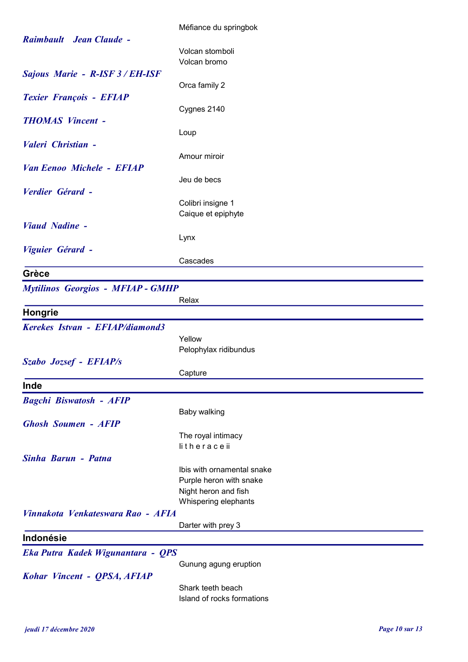|                                          | Méfiance du springbok                        |
|------------------------------------------|----------------------------------------------|
| Raimbault Jean Claude -                  |                                              |
|                                          | Volcan stomboli                              |
|                                          | Volcan bromo                                 |
| Sajous Marie - R-ISF 3 / EH-ISF          |                                              |
|                                          | Orca family 2                                |
| <b>Texier François - EFIAP</b>           |                                              |
|                                          | Cygnes 2140                                  |
| <b>THOMAS Vincent -</b>                  |                                              |
|                                          | Loup                                         |
| Valeri Christian -                       |                                              |
|                                          |                                              |
|                                          | Amour miroir                                 |
| Van Eenoo Michele - EFIAP                |                                              |
|                                          | Jeu de becs                                  |
| Verdier Gérard -                         |                                              |
|                                          | Colibri insigne 1                            |
|                                          | Caique et epiphyte                           |
| <b>Viaud Nadine -</b>                    |                                              |
|                                          | Lynx                                         |
| Viguier Gérard -                         |                                              |
|                                          | Cascades                                     |
| Grèce                                    |                                              |
| <b>Mytilinos Georgios - MFIAP - GMHP</b> |                                              |
|                                          | Relax                                        |
|                                          |                                              |
| Hongrie                                  |                                              |
| Kerekes Istvan - EFIAP/diamond3          |                                              |
|                                          | Yellow                                       |
|                                          | Pelophylax ridibundus                        |
| Szabo Jozsef - EFIAP/s                   |                                              |
|                                          | Capture                                      |
| Inde                                     |                                              |
| <b>Bagchi Biswatosh - AFIP</b>           |                                              |
|                                          | <b>Baby walking</b>                          |
| <b>Ghosh Soumen - AFIP</b>               |                                              |
|                                          |                                              |
|                                          | The royal intimacy<br>litheraceii            |
| Sinha Barun - Patna                      |                                              |
|                                          |                                              |
|                                          | Ibis with ornamental snake                   |
|                                          | Purple heron with snake                      |
|                                          | Night heron and fish<br>Whispering elephants |
|                                          |                                              |
| Vinnakota Venkateswara Rao - AFIA        |                                              |
|                                          | Darter with prey 3                           |
| Indonésie                                |                                              |
| Eka Putra Kadek Wigunantara - QPS        |                                              |
|                                          | Gunung agung eruption                        |
| Kohar Vincent - QPSA, AFIAP              |                                              |
|                                          | Shark teeth beach                            |
|                                          | Island of rocks formations                   |
|                                          |                                              |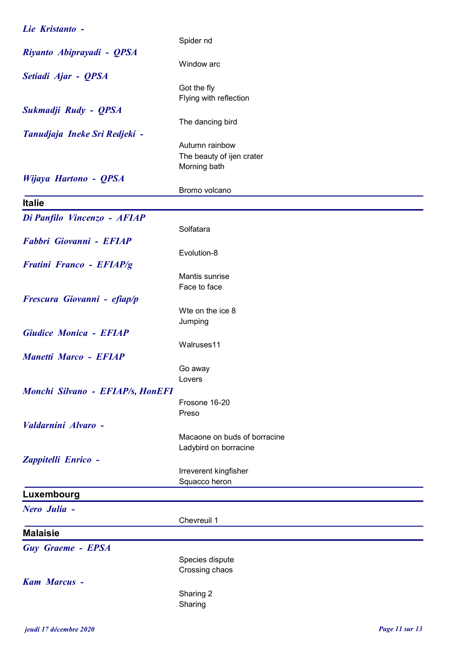| Lie Kristanto -                  |                              |
|----------------------------------|------------------------------|
|                                  | Spider nd                    |
| Riyanto Abiprayadi - QPSA        |                              |
|                                  | Window arc                   |
| Setiadi Ajar - QPSA              |                              |
|                                  | Got the fly                  |
|                                  | Flying with reflection       |
| Sukmadji Rudy - QPSA             |                              |
|                                  | The dancing bird             |
| Tanudjaja Ineke Sri Redjeki -    |                              |
|                                  | Autumn rainbow               |
|                                  | The beauty of ijen crater    |
|                                  | Morning bath                 |
| Wijaya Hartono - QPSA            |                              |
|                                  | Bromo volcano                |
| <b>Italie</b>                    |                              |
| Di Panfilo Vincenzo - AFIAP      |                              |
|                                  | Solfatara                    |
| Fabbri Giovanni - EFIAP          |                              |
|                                  | Evolution-8                  |
| <b>Fratini Franco - EFIAP/g</b>  |                              |
|                                  | Mantis sunrise               |
|                                  | Face to face                 |
| Frescura Giovanni - efiap/p      |                              |
|                                  | Wte on the ice 8             |
|                                  | Jumping                      |
| <b>Giudice Monica - EFIAP</b>    |                              |
|                                  | Walruses11                   |
| <b>Manetti Marco - EFIAP</b>     |                              |
|                                  | Go away                      |
|                                  | Lovers                       |
| Monchi Silvano - EFIAP/s, HonEFI |                              |
|                                  | Frosone 16-20                |
|                                  | Preso                        |
| Valdarnini Alvaro -              |                              |
|                                  | Macaone on buds of borracine |
|                                  | Ladybird on borracine        |
| Zappitelli Enrico -              |                              |
|                                  | Irreverent kingfisher        |
|                                  | Squacco heron                |
| Luxembourg                       |                              |
| Nero Julia -                     |                              |
|                                  | Chevreuil 1                  |
| <b>Malaisie</b>                  |                              |
| <b>Guy Graeme - EPSA</b>         |                              |
|                                  | Species dispute              |
|                                  | Crossing chaos               |
| <b>Kam Marcus -</b>              |                              |
|                                  | Sharing 2                    |
|                                  | Sharing                      |
|                                  |                              |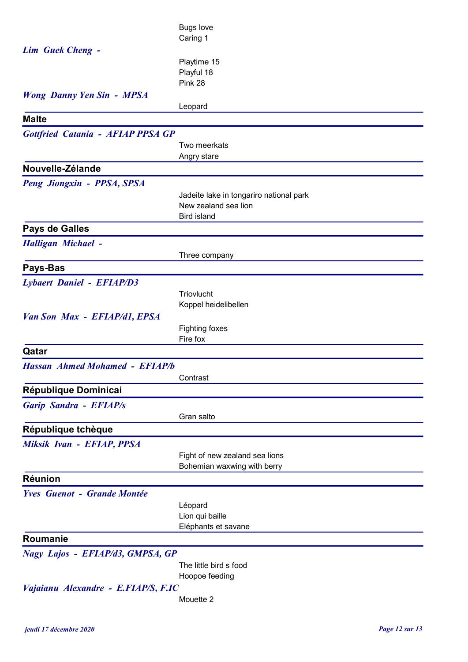|                                          | <b>Bugs love</b>                        |
|------------------------------------------|-----------------------------------------|
|                                          | Caring 1                                |
| <b>Lim Guek Cheng -</b>                  |                                         |
|                                          | Playtime 15                             |
|                                          | Playful 18                              |
|                                          | Pink 28                                 |
| <b>Wong Danny Yen Sin - MPSA</b>         |                                         |
|                                          | Leopard                                 |
| <b>Malte</b>                             |                                         |
| <b>Gottfried Catania - AFIAP PPSA GP</b> |                                         |
|                                          | Two meerkats                            |
|                                          | Angry stare                             |
| Nouvelle-Zélande                         |                                         |
| Peng Jiongxin - PPSA, SPSA               |                                         |
|                                          | Jadeite lake in tongariro national park |
|                                          | New zealand sea lion                    |
|                                          | <b>Bird island</b>                      |
| <b>Pays de Galles</b>                    |                                         |
| <b>Halligan Michael -</b>                |                                         |
|                                          | Three company                           |
| Pays-Bas                                 |                                         |
| <b>Lybaert Daniel - EFIAP/D3</b>         |                                         |
|                                          | Triovlucht                              |
|                                          | Koppel heidelibellen                    |
| Van Son Max - EFIAP/d1, EPSA             |                                         |
|                                          | Fighting foxes                          |
|                                          | Fire fox                                |
| Qatar                                    |                                         |
| <b>Hassan Ahmed Mohamed - EFIAP/b</b>    |                                         |
|                                          | Contrast                                |
| République Dominicai                     |                                         |
| <b>Garip Sandra - EFIAP/s</b>            |                                         |
|                                          | Gran salto                              |
| République tchèque                       |                                         |
| Miksik Ivan - EFIAP, PPSA                |                                         |
|                                          | Fight of new zealand sea lions          |
|                                          | Bohemian waxwing with berry             |
| <b>Réunion</b>                           |                                         |
|                                          |                                         |
| <b>Yves Guenot - Grande Montée</b>       |                                         |
|                                          | Léopard<br>Lion qui baille              |
|                                          | Eléphants et savane                     |
| Roumanie                                 |                                         |
|                                          |                                         |
| Nagy Lajos - EFIAP/d3, GMPSA, GP         | The little bird s food                  |
|                                          | Hoopoe feeding                          |
| Vajaianu Alexandre - E.FIAP/S, F.IC      |                                         |
|                                          | Mouette 2                               |
|                                          |                                         |